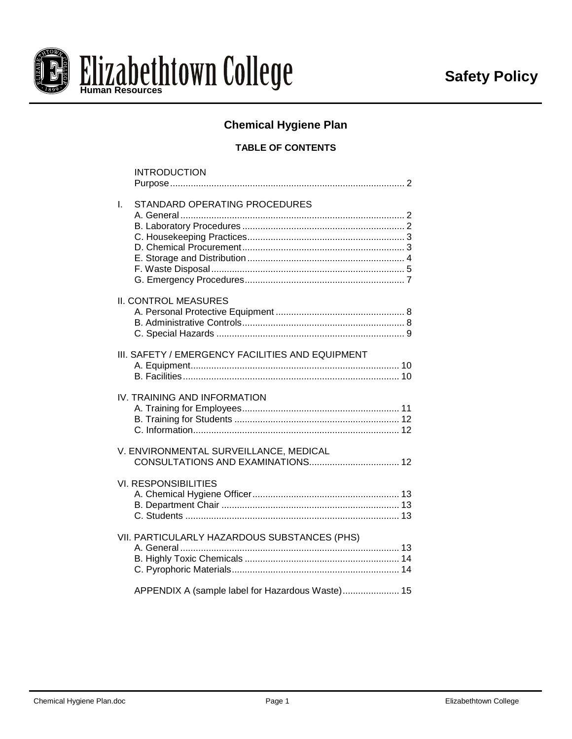

# **Chemical Hygiene Plan**

# **TABLE OF CONTENTS**

|    | <b>INTRODUCTION</b>                              |  |
|----|--------------------------------------------------|--|
| I. | STANDARD OPERATING PROCEDURES                    |  |
|    | <b>II. CONTROL MEASURES</b>                      |  |
|    | III. SAFETY / EMERGENCY FACILITIES AND EQUIPMENT |  |
|    | IV. TRAINING AND INFORMATION                     |  |
|    | V. ENVIRONMENTAL SURVEILLANCE, MEDICAL           |  |
|    | <b>VI. RESPONSIBILITIES</b>                      |  |
|    | VII. PARTICULARLY HAZARDOUS SUBSTANCES (PHS)     |  |
|    | APPENDIX A (sample label for Hazardous Waste) 15 |  |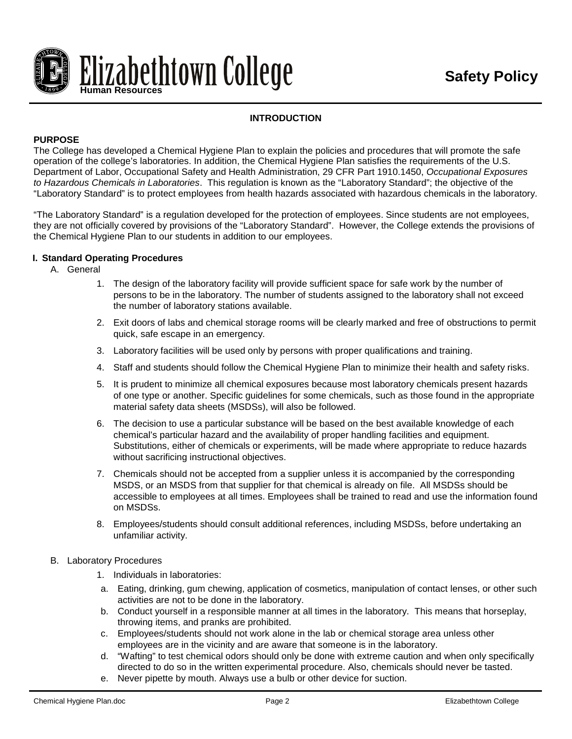

# **INTRODUCTION**

# **PURPOSE**

The College has developed a Chemical Hygiene Plan to explain the policies and procedures that will promote the safe operation of the college's laboratories. In addition, the Chemical Hygiene Plan satisfies the requirements of the U.S. Department of Labor, Occupational Safety and Health Administration, 29 CFR Part 1910.1450, *Occupational Exposures to Hazardous Chemicals in Laboratories*. This regulation is known as the "Laboratory Standard"; the objective of the "Laboratory Standard" is to protect employees from health hazards associated with hazardous chemicals in the laboratory.

"The Laboratory Standard" is a regulation developed for the protection of employees. Since students are not employees, they are not officially covered by provisions of the "Laboratory Standard". However, the College extends the provisions of the Chemical Hygiene Plan to our students in addition to our employees.

### **I. Standard Operating Procedures**

- A. General
	- 1. The design of the laboratory facility will provide sufficient space for safe work by the number of persons to be in the laboratory. The number of students assigned to the laboratory shall not exceed the number of laboratory stations available.
	- 2. Exit doors of labs and chemical storage rooms will be clearly marked and free of obstructions to permit quick, safe escape in an emergency.
	- 3. Laboratory facilities will be used only by persons with proper qualifications and training.
	- 4. Staff and students should follow the Chemical Hygiene Plan to minimize their health and safety risks.
	- 5. It is prudent to minimize all chemical exposures because most laboratory chemicals present hazards of one type or another. Specific guidelines for some chemicals, such as those found in the appropriate material safety data sheets (MSDSs), will also be followed.
	- 6. The decision to use a particular substance will be based on the best available knowledge of each chemical's particular hazard and the availability of proper handling facilities and equipment. Substitutions, either of chemicals or experiments, will be made where appropriate to reduce hazards without sacrificing instructional objectives.
	- 7. Chemicals should not be accepted from a supplier unless it is accompanied by the corresponding MSDS, or an MSDS from that supplier for that chemical is already on file. All MSDSs should be accessible to employees at all times. Employees shall be trained to read and use the information found on MSDSs.
	- 8. Employees/students should consult additional references, including MSDSs, before undertaking an unfamiliar activity.
- B. Laboratory Procedures
	- 1. Individuals in laboratories:
	- a. Eating, drinking, gum chewing, application of cosmetics, manipulation of contact lenses, or other such activities are not to be done in the laboratory.
	- b. Conduct yourself in a responsible manner at all times in the laboratory. This means that horseplay, throwing items, and pranks are prohibited.
	- c. Employees/students should not work alone in the lab or chemical storage area unless other employees are in the vicinity and are aware that someone is in the laboratory.
	- d. "Wafting" to test chemical odors should only be done with extreme caution and when only specifically directed to do so in the written experimental procedure. Also, chemicals should never be tasted.
	- e. Never pipette by mouth. Always use a bulb or other device for suction.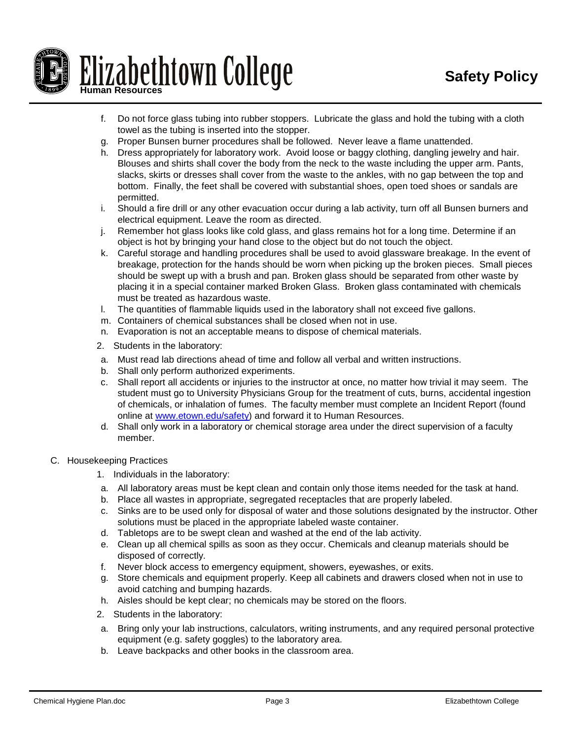

- f. Do not force glass tubing into rubber stoppers. Lubricate the glass and hold the tubing with a cloth towel as the tubing is inserted into the stopper.
- g. Proper Bunsen burner procedures shall be followed. Never leave a flame unattended.
- h. Dress appropriately for laboratory work. Avoid loose or baggy clothing, dangling jewelry and hair. Blouses and shirts shall cover the body from the neck to the waste including the upper arm. Pants, slacks, skirts or dresses shall cover from the waste to the ankles, with no gap between the top and bottom. Finally, the feet shall be covered with substantial shoes, open toed shoes or sandals are permitted.
- i. Should a fire drill or any other evacuation occur during a lab activity, turn off all Bunsen burners and electrical equipment. Leave the room as directed.
- j. Remember hot glass looks like cold glass, and glass remains hot for a long time. Determine if an object is hot by bringing your hand close to the object but do not touch the object.
- k. Careful storage and handling procedures shall be used to avoid glassware breakage. In the event of breakage, protection for the hands should be worn when picking up the broken pieces. Small pieces should be swept up with a brush and pan. Broken glass should be separated from other waste by placing it in a special container marked Broken Glass. Broken glass contaminated with chemicals must be treated as hazardous waste.
- l. The quantities of flammable liquids used in the laboratory shall not exceed five gallons.
- m. Containers of chemical substances shall be closed when not in use.
- n. Evaporation is not an acceptable means to dispose of chemical materials.
- 2. Students in the laboratory:
- a. Must read lab directions ahead of time and follow all verbal and written instructions.
- b. Shall only perform authorized experiments.
- c. Shall report all accidents or injuries to the instructor at once, no matter how trivial it may seem. The student must go to University Physicians Group for the treatment of cuts, burns, accidental ingestion of chemicals, or inhalation of fumes. The faculty member must complete an Incident Report (found online at [www.etown.edu/safety\)](http://www.etown.edu/safety) and forward it to Human Resources.
- d. Shall only work in a laboratory or chemical storage area under the direct supervision of a faculty member.
- C. Housekeeping Practices
	- 1. Individuals in the laboratory:
	- a. All laboratory areas must be kept clean and contain only those items needed for the task at hand.
	- b. Place all wastes in appropriate, segregated receptacles that are properly labeled.
	- c. Sinks are to be used only for disposal of water and those solutions designated by the instructor. Other solutions must be placed in the appropriate labeled waste container.
	- d. Tabletops are to be swept clean and washed at the end of the lab activity.
	- e. Clean up all chemical spills as soon as they occur. Chemicals and cleanup materials should be disposed of correctly.
	- f. Never block access to emergency equipment, showers, eyewashes, or exits.
	- g. Store chemicals and equipment properly. Keep all cabinets and drawers closed when not in use to avoid catching and bumping hazards.
	- h. Aisles should be kept clear; no chemicals may be stored on the floors.
	- 2. Students in the laboratory:
	- a. Bring only your lab instructions, calculators, writing instruments, and any required personal protective equipment (e.g. safety goggles) to the laboratory area.
	- b. Leave backpacks and other books in the classroom area.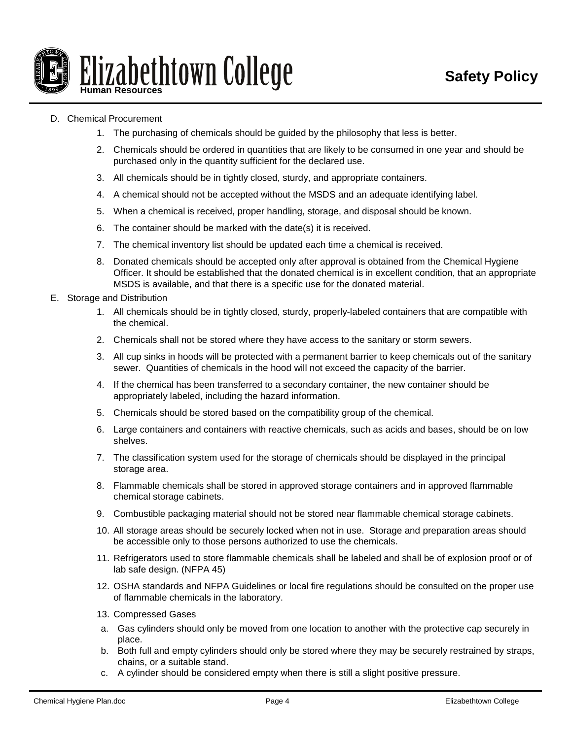

## D. Chemical Procurement

- 1. The purchasing of chemicals should be guided by the philosophy that less is better.
- 2. Chemicals should be ordered in quantities that are likely to be consumed in one year and should be purchased only in the quantity sufficient for the declared use.
- 3. All chemicals should be in tightly closed, sturdy, and appropriate containers.
- 4. A chemical should not be accepted without the MSDS and an adequate identifying label.
- 5. When a chemical is received, proper handling, storage, and disposal should be known.
- 6. The container should be marked with the date(s) it is received.
- 7. The chemical inventory list should be updated each time a chemical is received.
- 8. Donated chemicals should be accepted only after approval is obtained from the Chemical Hygiene Officer. It should be established that the donated chemical is in excellent condition, that an appropriate MSDS is available, and that there is a specific use for the donated material.
- E. Storage and Distribution
	- 1. All chemicals should be in tightly closed, sturdy, properly-labeled containers that are compatible with the chemical.
	- 2. Chemicals shall not be stored where they have access to the sanitary or storm sewers.
	- 3. All cup sinks in hoods will be protected with a permanent barrier to keep chemicals out of the sanitary sewer. Quantities of chemicals in the hood will not exceed the capacity of the barrier.
	- 4. If the chemical has been transferred to a secondary container, the new container should be appropriately labeled, including the hazard information.
	- 5. Chemicals should be stored based on the compatibility group of the chemical.
	- 6. Large containers and containers with reactive chemicals, such as acids and bases, should be on low shelves.
	- 7. The classification system used for the storage of chemicals should be displayed in the principal storage area.
	- 8. Flammable chemicals shall be stored in approved storage containers and in approved flammable chemical storage cabinets.
	- 9. Combustible packaging material should not be stored near flammable chemical storage cabinets.
	- 10. All storage areas should be securely locked when not in use. Storage and preparation areas should be accessible only to those persons authorized to use the chemicals.
	- 11. Refrigerators used to store flammable chemicals shall be labeled and shall be of explosion proof or of lab safe design. (NFPA 45)
	- 12. OSHA standards and NFPA Guidelines or local fire regulations should be consulted on the proper use of flammable chemicals in the laboratory.
	- 13. Compressed Gases
	- a. Gas cylinders should only be moved from one location to another with the protective cap securely in place.
	- b. Both full and empty cylinders should only be stored where they may be securely restrained by straps, chains, or a suitable stand.
	- c. A cylinder should be considered empty when there is still a slight positive pressure.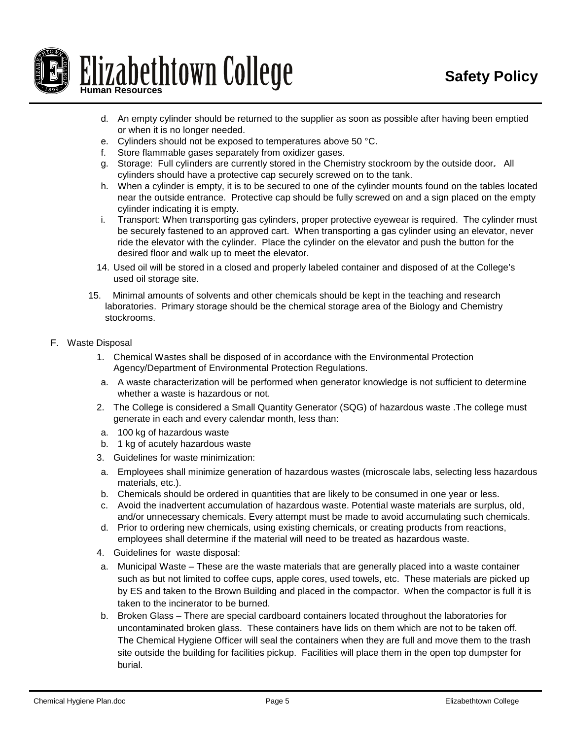

- d. An empty cylinder should be returned to the supplier as soon as possible after having been emptied or when it is no longer needed.
- e. Cylinders should not be exposed to temperatures above 50 °C.
- f. Store flammable gases separately from oxidizer gases.
- g. Storage: Full cylinders are currently stored in the Chemistry stockroom by the outside door. All cylinders should have a protective cap securely screwed on to the tank.
- h. When a cylinder is empty, it is to be secured to one of the cylinder mounts found on the tables located near the outside entrance. Protective cap should be fully screwed on and a sign placed on the empty cylinder indicating it is empty.
- i. Transport: When transporting gas cylinders, proper protective eyewear is required. The cylinder must be securely fastened to an approved cart. When transporting a gas cylinder using an elevator, never ride the elevator with the cylinder. Place the cylinder on the elevator and push the button for the desired floor and walk up to meet the elevator.
- 14. Used oil will be stored in a closed and properly labeled container and disposed of at the College's used oil storage site.
- 15. Minimal amounts of solvents and other chemicals should be kept in the teaching and research laboratories. Primary storage should be the chemical storage area of the Biology and Chemistry stockrooms.
- F. Waste Disposal
	- 1. Chemical Wastes shall be disposed of in accordance with the Environmental Protection Agency/Department of Environmental Protection Regulations.
	- a. A waste characterization will be performed when generator knowledge is not sufficient to determine whether a waste is hazardous or not.
	- 2. The College is considered a Small Quantity Generator (SQG) of hazardous waste .The college must generate in each and every calendar month, less than:
	- a. 100 kg of hazardous waste
	- b. 1 kg of acutely hazardous waste
	- 3. Guidelines for waste minimization:
	- a. Employees shall minimize generation of hazardous wastes (microscale labs, selecting less hazardous materials, etc.).
	- b. Chemicals should be ordered in quantities that are likely to be consumed in one year or less.
	- c. Avoid the inadvertent accumulation of hazardous waste. Potential waste materials are surplus, old, and/or unnecessary chemicals. Every attempt must be made to avoid accumulating such chemicals.
	- d. Prior to ordering new chemicals, using existing chemicals, or creating products from reactions, employees shall determine if the material will need to be treated as hazardous waste.
	- 4. Guidelines for waste disposal:
	- a. Municipal Waste These are the waste materials that are generally placed into a waste container such as but not limited to coffee cups, apple cores, used towels, etc. These materials are picked up by ES and taken to the Brown Building and placed in the compactor. When the compactor is full it is taken to the incinerator to be burned.
	- b. Broken Glass There are special cardboard containers located throughout the laboratories for uncontaminated broken glass. These containers have lids on them which are not to be taken off. The Chemical Hygiene Officer will seal the containers when they are full and move them to the trash site outside the building for facilities pickup. Facilities will place them in the open top dumpster for burial.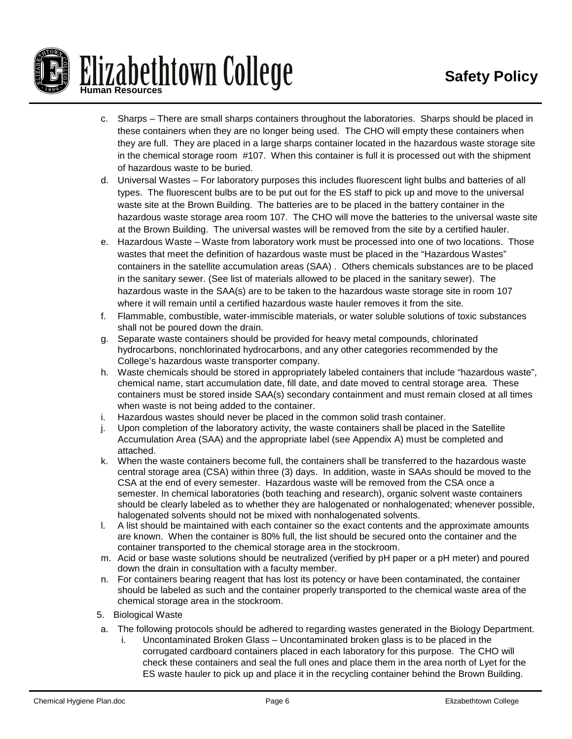

- c. Sharps There are small sharps containers throughout the laboratories. Sharps should be placed in these containers when they are no longer being used. The CHO will empty these containers when they are full. They are placed in a large sharps container located in the hazardous waste storage site in the chemical storage room #107. When this container is full it is processed out with the shipment of hazardous waste to be buried.
- d. Universal Wastes For laboratory purposes this includes fluorescent light bulbs and batteries of all types. The fluorescent bulbs are to be put out for the ES staff to pick up and move to the universal waste site at the Brown Building. The batteries are to be placed in the battery container in the hazardous waste storage area room 107. The CHO will move the batteries to the universal waste site at the Brown Building. The universal wastes will be removed from the site by a certified hauler.
- e. Hazardous Waste Waste from laboratory work must be processed into one of two locations. Those wastes that meet the definition of hazardous waste must be placed in the "Hazardous Wastes" containers in the satellite accumulation areas (SAA) . Others chemicals substances are to be placed in the sanitary sewer. (See list of materials allowed to be placed in the sanitary sewer). The hazardous waste in the SAA(s) are to be taken to the hazardous waste storage site in room 107 where it will remain until a certified hazardous waste hauler removes it from the site.
- f. Flammable, combustible, water-immiscible materials, or water soluble solutions of toxic substances shall not be poured down the drain.
- g. Separate waste containers should be provided for heavy metal compounds, chlorinated hydrocarbons, nonchlorinated hydrocarbons, and any other categories recommended by the College's hazardous waste transporter company.
- h. Waste chemicals should be stored in appropriately labeled containers that include "hazardous waste", chemical name, start accumulation date, fill date, and date moved to central storage area. These containers must be stored inside SAA(s) secondary containment and must remain closed at all times when waste is not being added to the container.
- i. Hazardous wastes should never be placed in the common solid trash container.
- j. Upon completion of the laboratory activity, the waste containers shall be placed in the Satellite Accumulation Area (SAA) and the appropriate label (see Appendix A) must be completed and attached.
- k. When the waste containers become full, the containers shall be transferred to the hazardous waste central storage area (CSA) within three (3) days. In addition, waste in SAAs should be moved to the CSA at the end of every semester. Hazardous waste will be removed from the CSA once a semester. In chemical laboratories (both teaching and research), organic solvent waste containers should be clearly labeled as to whether they are halogenated or nonhalogenated; whenever possible, halogenated solvents should not be mixed with nonhalogenated solvents.
- l. A list should be maintained with each container so the exact contents and the approximate amounts are known. When the container is 80% full, the list should be secured onto the container and the container transported to the chemical storage area in the stockroom.
- m. Acid or base waste solutions should be neutralized (verified by pH paper or a pH meter) and poured down the drain in consultation with a faculty member.
- n. For containers bearing reagent that has lost its potency or have been contaminated, the container should be labeled as such and the container properly transported to the chemical waste area of the chemical storage area in the stockroom.
- 5. Biological Waste
- a. The following protocols should be adhered to regarding wastes generated in the Biology Department.
	- Uncontaminated Broken Glass Uncontaminated broken glass is to be placed in the corrugated cardboard containers placed in each laboratory for this purpose. The CHO will check these containers and seal the full ones and place them in the area north of Lyet for the ES waste hauler to pick up and place it in the recycling container behind the Brown Building.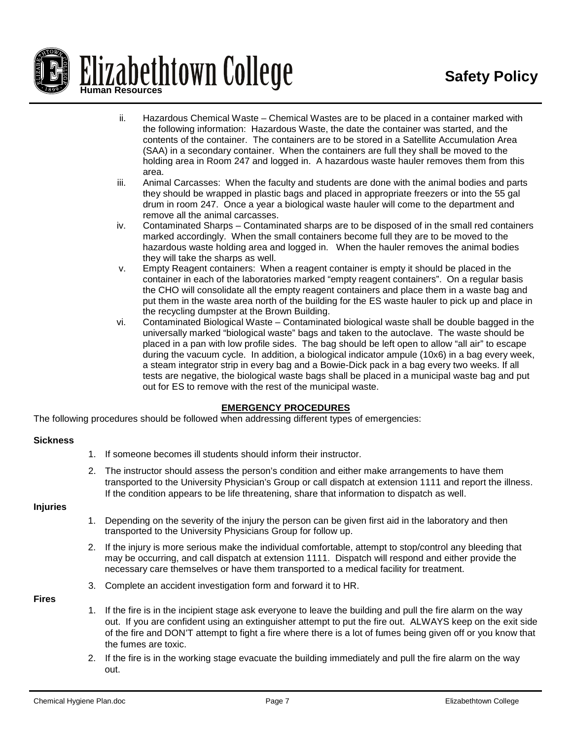

- ii. Hazardous Chemical Waste Chemical Wastes are to be placed in a container marked with the following information: Hazardous Waste, the date the container was started, and the contents of the container. The containers are to be stored in a Satellite Accumulation Area (SAA) in a secondary container. When the containers are full they shall be moved to the holding area in Room 247 and logged in. A hazardous waste hauler removes them from this area.
- iii. Animal Carcasses: When the faculty and students are done with the animal bodies and parts they should be wrapped in plastic bags and placed in appropriate freezers or into the 55 gal drum in room 247. Once a year a biological waste hauler will come to the department and remove all the animal carcasses.
- iv. Contaminated Sharps Contaminated sharps are to be disposed of in the small red containers marked accordingly. When the small containers become full they are to be moved to the hazardous waste holding area and logged in. When the hauler removes the animal bodies they will take the sharps as well.
- v. Empty Reagent containers: When a reagent container is empty it should be placed in the container in each of the laboratories marked "empty reagent containers". On a regular basis the CHO will consolidate all the empty reagent containers and place them in a waste bag and put them in the waste area north of the building for the ES waste hauler to pick up and place in the recycling dumpster at the Brown Building.
- vi. Contaminated Biological Waste Contaminated biological waste shall be double bagged in the universally marked "biological waste" bags and taken to the autoclave. The waste should be placed in a pan with low profile sides. The bag should be left open to allow "all air" to escape during the vacuum cycle. In addition, a biological indicator ampule (10x6) in a bag every week, a steam integrator strip in every bag and a Bowie-Dick pack in a bag every two weeks. If all tests are negative, the biological waste bags shall be placed in a municipal waste bag and put out for ES to remove with the rest of the municipal waste.

## **EMERGENCY PROCEDURES**

The following procedures should be followed when addressing different types of emergencies:

### **Sickness**

- 1. If someone becomes ill students should inform their instructor.
- 2. The instructor should assess the person's condition and either make arrangements to have them transported to the University Physician's Group or call dispatch at extension 1111 and report the illness. If the condition appears to be life threatening, share that information to dispatch as well.

### **Injuries**

- 1. Depending on the severity of the injury the person can be given first aid in the laboratory and then transported to the University Physicians Group for follow up.
- 2. If the injury is more serious make the individual comfortable, attempt to stop/control any bleeding that may be occurring, and call dispatch at extension 1111. Dispatch will respond and either provide the necessary care themselves or have them transported to a medical facility for treatment.
- 3. Complete an accident investigation form and forward it to HR.

## **Fires**

- 1. If the fire is in the incipient stage ask everyone to leave the building and pull the fire alarm on the way out. If you are confident using an extinguisher attempt to put the fire out. ALWAYS keep on the exit side of the fire and DON'T attempt to fight a fire where there is a lot of fumes being given off or you know that the fumes are toxic.
- 2. If the fire is in the working stage evacuate the building immediately and pull the fire alarm on the way out.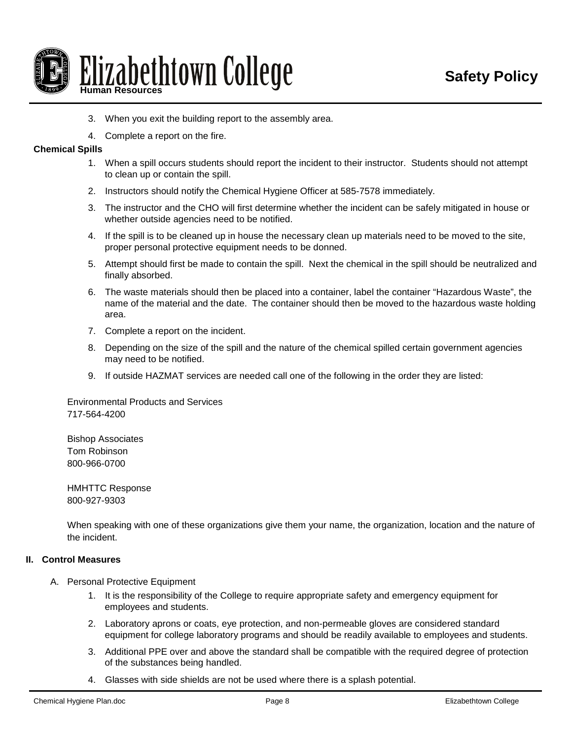

- 3. When you exit the building report to the assembly area.
- 4. Complete a report on the fire.

#### **Chemical Spills**

- 1. When a spill occurs students should report the incident to their instructor. Students should not attempt to clean up or contain the spill.
- 2. Instructors should notify the Chemical Hygiene Officer at 585-7578 immediately.
- 3. The instructor and the CHO will first determine whether the incident can be safely mitigated in house or whether outside agencies need to be notified.
- 4. If the spill is to be cleaned up in house the necessary clean up materials need to be moved to the site, proper personal protective equipment needs to be donned.
- 5. Attempt should first be made to contain the spill. Next the chemical in the spill should be neutralized and finally absorbed.
- 6. The waste materials should then be placed into a container, label the container "Hazardous Waste", the name of the material and the date. The container should then be moved to the hazardous waste holding area.
- 7. Complete a report on the incident.
- 8. Depending on the size of the spill and the nature of the chemical spilled certain government agencies may need to be notified.
- 9. If outside HAZMAT services are needed call one of the following in the order they are listed:

Environmental Products and Services 717-564-4200

Bishop Associates Tom Robinson 800-966-0700

HMHTTC Response 800-927-9303

When speaking with one of these organizations give them your name, the organization, location and the nature of the incident.

### **II. Control Measures**

- A. Personal Protective Equipment
	- 1. It is the responsibility of the College to require appropriate safety and emergency equipment for employees and students.
	- 2. Laboratory aprons or coats, eye protection, and non-permeable gloves are considered standard equipment for college laboratory programs and should be readily available to employees and students.
	- 3. Additional PPE over and above the standard shall be compatible with the required degree of protection of the substances being handled.
	- 4. Glasses with side shields are not be used where there is a splash potential.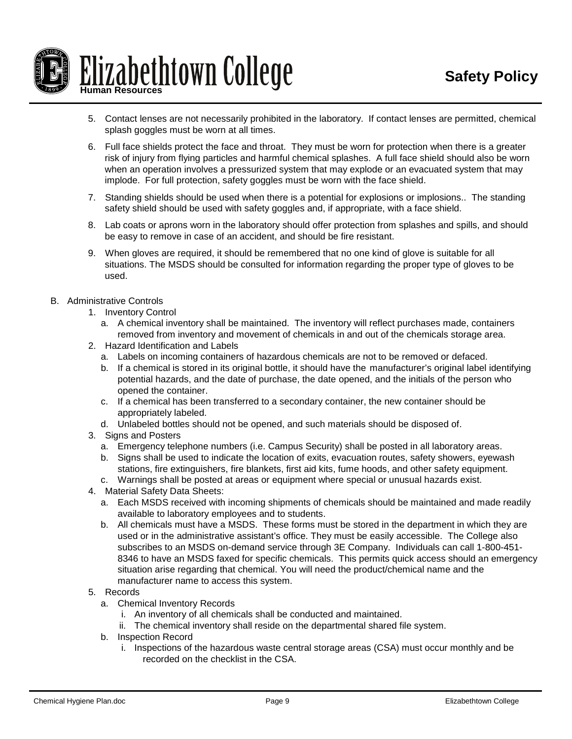

- 5. Contact lenses are not necessarily prohibited in the laboratory. If contact lenses are permitted, chemical splash goggles must be worn at all times.
- 6. Full face shields protect the face and throat. They must be worn for protection when there is a greater risk of injury from flying particles and harmful chemical splashes. A full face shield should also be worn when an operation involves a pressurized system that may explode or an evacuated system that may implode. For full protection, safety goggles must be worn with the face shield.
- 7. Standing shields should be used when there is a potential for explosions or implosions.. The standing safety shield should be used with safety goggles and, if appropriate, with a face shield.
- 8. Lab coats or aprons worn in the laboratory should offer protection from splashes and spills, and should be easy to remove in case of an accident, and should be fire resistant.
- 9. When gloves are required, it should be remembered that no one kind of glove is suitable for all situations. The MSDS should be consulted for information regarding the proper type of gloves to be used.
- B. Administrative Controls
	- 1. Inventory Control
		- a. A chemical inventory shall be maintained. The inventory will reflect purchases made, containers removed from inventory and movement of chemicals in and out of the chemicals storage area.
	- 2. Hazard Identification and Labels
		- a. Labels on incoming containers of hazardous chemicals are not to be removed or defaced.
		- b. If a chemical is stored in its original bottle, it should have the manufacturer's original label identifying potential hazards, and the date of purchase, the date opened, and the initials of the person who opened the container.
		- c. If a chemical has been transferred to a secondary container, the new container should be appropriately labeled.
		- d. Unlabeled bottles should not be opened, and such materials should be disposed of.
	- 3. Signs and Posters
		- a. Emergency telephone numbers (i.e. Campus Security) shall be posted in all laboratory areas.
		- b. Signs shall be used to indicate the location of exits, evacuation routes, safety showers, eyewash stations, fire extinguishers, fire blankets, first aid kits, fume hoods, and other safety equipment.
		- c. Warnings shall be posted at areas or equipment where special or unusual hazards exist.
	- 4. Material Safety Data Sheets:
		- a. Each MSDS received with incoming shipments of chemicals should be maintained and made readily available to laboratory employees and to students.
		- b. All chemicals must have a MSDS. These forms must be stored in the department in which they are used or in the administrative assistant's office. They must be easily accessible. The College also subscribes to an MSDS on-demand service through 3E Company. Individuals can call 1-800-451- 8346 to have an MSDS faxed for specific chemicals. This permits quick access should an emergency situation arise regarding that chemical. You will need the product/chemical name and the manufacturer name to access this system.

### 5. Records

- a. Chemical Inventory Records
	- i. An inventory of all chemicals shall be conducted and maintained.
	- ii. The chemical inventory shall reside on the departmental shared file system.
- b. Inspection Record
	- i. Inspections of the hazardous waste central storage areas (CSA) must occur monthly and be recorded on the checklist in the CSA.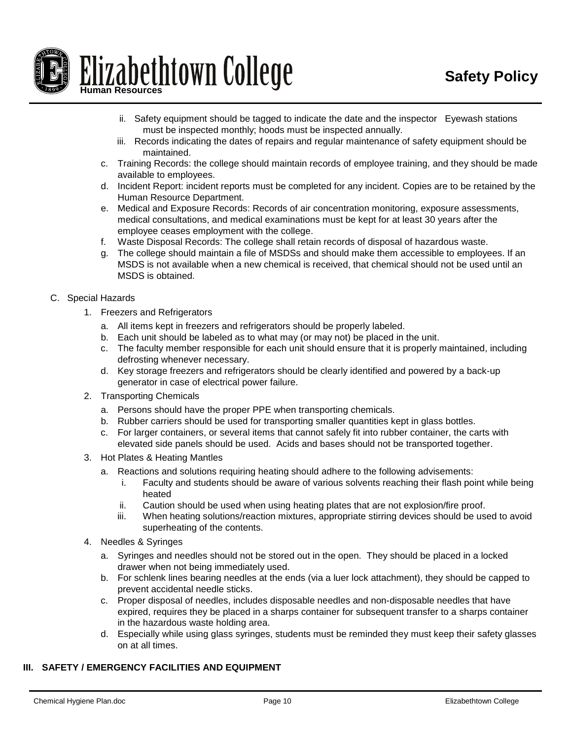

- ii. Safety equipment should be tagged to indicate the date and the inspector Eyewash stations must be inspected monthly; hoods must be inspected annually.
- iii. Records indicating the dates of repairs and regular maintenance of safety equipment should be maintained.
- c. Training Records: the college should maintain records of employee training, and they should be made available to employees.
- d. Incident Report: incident reports must be completed for any incident. Copies are to be retained by the Human Resource Department.
- e. Medical and Exposure Records: Records of air concentration monitoring, exposure assessments, medical consultations, and medical examinations must be kept for at least 30 years after the employee ceases employment with the college.
- f. Waste Disposal Records: The college shall retain records of disposal of hazardous waste.
- g. The college should maintain a file of MSDSs and should make them accessible to employees. If an MSDS is not available when a new chemical is received, that chemical should not be used until an MSDS is obtained.

# C. Special Hazards

- 1. Freezers and Refrigerators
	- a. All items kept in freezers and refrigerators should be properly labeled.
	- b. Each unit should be labeled as to what may (or may not) be placed in the unit.
	- c. The faculty member responsible for each unit should ensure that it is properly maintained, including defrosting whenever necessary.
	- d. Key storage freezers and refrigerators should be clearly identified and powered by a back-up generator in case of electrical power failure.
- 2. Transporting Chemicals
	- a. Persons should have the proper PPE when transporting chemicals.
	- b. Rubber carriers should be used for transporting smaller quantities kept in glass bottles.
	- c. For larger containers, or several items that cannot safely fit into rubber container, the carts with elevated side panels should be used. Acids and bases should not be transported together.
- 3. Hot Plates & Heating Mantles
	- a. Reactions and solutions requiring heating should adhere to the following advisements:
		- i. Faculty and students should be aware of various solvents reaching their flash point while being heated
		- ii. Caution should be used when using heating plates that are not explosion/fire proof.
		- iii. When heating solutions/reaction mixtures, appropriate stirring devices should be used to avoid superheating of the contents.
- 4. Needles & Syringes
	- a. Syringes and needles should not be stored out in the open. They should be placed in a locked drawer when not being immediately used.
	- b. For schlenk lines bearing needles at the ends (via a luer lock attachment), they should be capped to prevent accidental needle sticks.
	- c. Proper disposal of needles, includes disposable needles and non-disposable needles that have expired, requires they be placed in a sharps container for subsequent transfer to a sharps container in the hazardous waste holding area.
	- d. Especially while using glass syringes, students must be reminded they must keep their safety glasses on at all times.

# **III. SAFETY / EMERGENCY FACILITIES AND EQUIPMENT**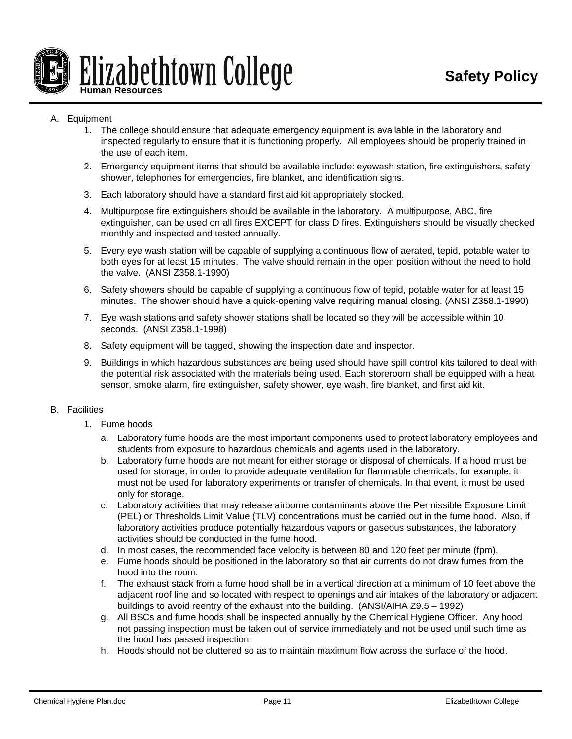

## A. Equipment

- 1. The college should ensure that adequate emergency equipment is available in the laboratory and inspected regularly to ensure that it is functioning properly. All employees should be properly trained in the use of each item.
- 2. Emergency equipment items that should be available include: eyewash station, fire extinguishers, safety shower, telephones for emergencies, fire blanket, and identification signs.
- 3. Each laboratory should have a standard first aid kit appropriately stocked.
- 4. Multipurpose fire extinguishers should be available in the laboratory. A multipurpose, ABC, fire extinguisher, can be used on all fires EXCEPT for class D fires. Extinguishers should be visually checked monthly and inspected and tested annually.
- 5. Every eye wash station will be capable of supplying a continuous flow of aerated, tepid, potable water to both eyes for at least 15 minutes. The valve should remain in the open position without the need to hold the valve. (ANSI Z358.1-1990)
- 6. Safety showers should be capable of supplying a continuous flow of tepid, potable water for at least 15 minutes. The shower should have a quick-opening valve requiring manual closing. (ANSI Z358.1-1990)
- 7. Eye wash stations and safety shower stations shall be located so they will be accessible within 10 seconds. (ANSI Z358.1-1998)
- 8. Safety equipment will be tagged, showing the inspection date and inspector.
- 9. Buildings in which hazardous substances are being used should have spill control kits tailored to deal with the potential risk associated with the materials being used. Each storeroom shall be equipped with a heat sensor, smoke alarm, fire extinguisher, safety shower, eye wash, fire blanket, and first aid kit.

## B. Facilities

- 1. Fume hoods
	- a. Laboratory fume hoods are the most important components used to protect laboratory employees and students from exposure to hazardous chemicals and agents used in the laboratory.
	- b. Laboratory fume hoods are not meant for either storage or disposal of chemicals. If a hood must be used for storage, in order to provide adequate ventilation for flammable chemicals, for example, it must not be used for laboratory experiments or transfer of chemicals. In that event, it must be used only for storage.
	- c. Laboratory activities that may release airborne contaminants above the Permissible Exposure Limit (PEL) or Thresholds Limit Value (TLV) concentrations must be carried out in the fume hood. Also, if laboratory activities produce potentially hazardous vapors or gaseous substances, the laboratory activities should be conducted in the fume hood.
	- d. In most cases, the recommended face velocity is between 80 and 120 feet per minute (fpm).
	- e. Fume hoods should be positioned in the laboratory so that air currents do not draw fumes from the hood into the room.
	- f. The exhaust stack from a fume hood shall be in a vertical direction at a minimum of 10 feet above the adjacent roof line and so located with respect to openings and air intakes of the laboratory or adjacent buildings to avoid reentry of the exhaust into the building. (ANSI/AIHA Z9.5 – 1992)
	- g. All BSCs and fume hoods shall be inspected annually by the Chemical Hygiene Officer. Any hood not passing inspection must be taken out of service immediately and not be used until such time as the hood has passed inspection.
	- h. Hoods should not be cluttered so as to maintain maximum flow across the surface of the hood.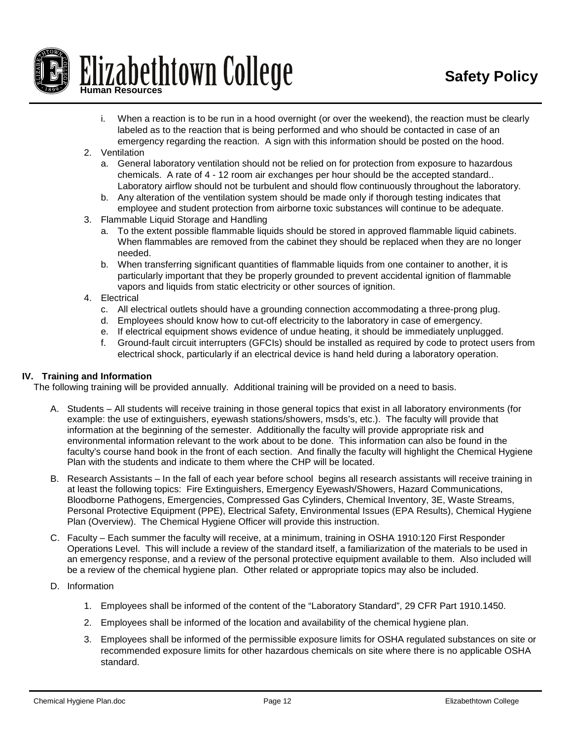

- i. When a reaction is to be run in a hood overnight (or over the weekend), the reaction must be clearly labeled as to the reaction that is being performed and who should be contacted in case of an emergency regarding the reaction. A sign with this information should be posted on the hood.
- 2. Ventilation
	- a. General laboratory ventilation should not be relied on for protection from exposure to hazardous chemicals. A rate of 4 - 12 room air exchanges per hour should be the accepted standard.. Laboratory airflow should not be turbulent and should flow continuously throughout the laboratory.
	- b. Any alteration of the ventilation system should be made only if thorough testing indicates that employee and student protection from airborne toxic substances will continue to be adequate.
- 3. Flammable Liquid Storage and Handling
	- a. To the extent possible flammable liquids should be stored in approved flammable liquid cabinets. When flammables are removed from the cabinet they should be replaced when they are no longer needed.
	- b. When transferring significant quantities of flammable liquids from one container to another, it is particularly important that they be properly grounded to prevent accidental ignition of flammable vapors and liquids from static electricity or other sources of ignition.
- 4. Electrical
	- c. All electrical outlets should have a grounding connection accommodating a three-prong plug.
	- d. Employees should know how to cut-off electricity to the laboratory in case of emergency.
	- e. If electrical equipment shows evidence of undue heating, it should be immediately unplugged.
	- f. Ground-fault circuit interrupters (GFCIs) should be installed as required by code to protect users from electrical shock, particularly if an electrical device is hand held during a laboratory operation.

### **IV. Training and Information**

The following training will be provided annually. Additional training will be provided on a need to basis.

- A. Students All students will receive training in those general topics that exist in all laboratory environments (for example: the use of extinguishers, eyewash stations/showers, msds's, etc.). The faculty will provide that information at the beginning of the semester. Additionally the faculty will provide appropriate risk and environmental information relevant to the work about to be done. This information can also be found in the faculty's course hand book in the front of each section. And finally the faculty will highlight the Chemical Hygiene Plan with the students and indicate to them where the CHP will be located.
- B. Research Assistants In the fall of each year before school begins all research assistants will receive training in at least the following topics: Fire Extinguishers, Emergency Eyewash/Showers, Hazard Communications, Bloodborne Pathogens, Emergencies, Compressed Gas Cylinders, Chemical Inventory, 3E, Waste Streams, Personal Protective Equipment (PPE), Electrical Safety, Environmental Issues (EPA Results), Chemical Hygiene Plan (Overview). The Chemical Hygiene Officer will provide this instruction.
- C. Faculty Each summer the faculty will receive, at a minimum, training in OSHA 1910:120 First Responder Operations Level. This will include a review of the standard itself, a familiarization of the materials to be used in an emergency response, and a review of the personal protective equipment available to them. Also included will be a review of the chemical hygiene plan. Other related or appropriate topics may also be included.
- D. Information
	- 1. Employees shall be informed of the content of the "Laboratory Standard", 29 CFR Part 1910.1450.
	- 2. Employees shall be informed of the location and availability of the chemical hygiene plan.
	- 3. Employees shall be informed of the permissible exposure limits for OSHA regulated substances on site or recommended exposure limits for other hazardous chemicals on site where there is no applicable OSHA standard.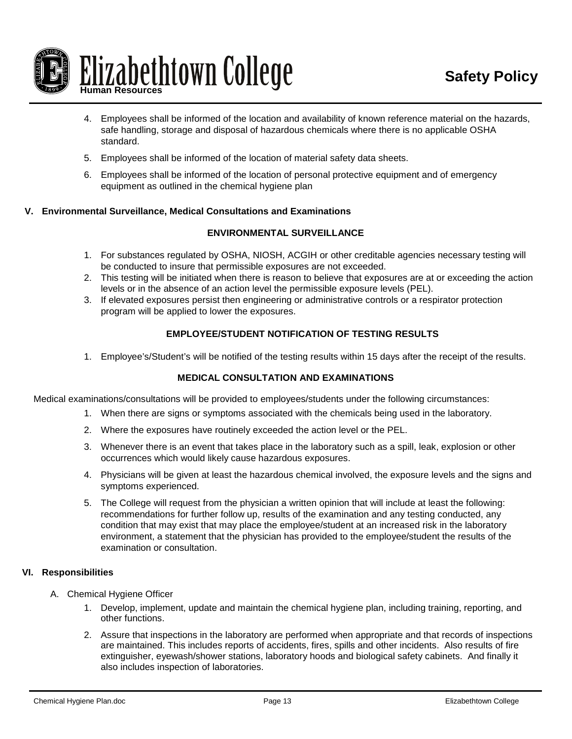

- 4. Employees shall be informed of the location and availability of known reference material on the hazards, safe handling, storage and disposal of hazardous chemicals where there is no applicable OSHA standard.
- 5. Employees shall be informed of the location of material safety data sheets.
- 6. Employees shall be informed of the location of personal protective equipment and of emergency equipment as outlined in the chemical hygiene plan

## **V. Environmental Surveillance, Medical Consultations and Examinations**

## **ENVIRONMENTAL SURVEILLANCE**

- 1. For substances regulated by OSHA, NIOSH, ACGIH or other creditable agencies necessary testing will be conducted to insure that permissible exposures are not exceeded.
- 2. This testing will be initiated when there is reason to believe that exposures are at or exceeding the action levels or in the absence of an action level the permissible exposure levels (PEL).
- 3. If elevated exposures persist then engineering or administrative controls or a respirator protection program will be applied to lower the exposures.

## **EMPLOYEE/STUDENT NOTIFICATION OF TESTING RESULTS**

1. Employee's/Student's will be notified of the testing results within 15 days after the receipt of the results.

### **MEDICAL CONSULTATION AND EXAMINATIONS**

Medical examinations/consultations will be provided to employees/students under the following circumstances:

- 1. When there are signs or symptoms associated with the chemicals being used in the laboratory.
- 2. Where the exposures have routinely exceeded the action level or the PEL.
- 3. Whenever there is an event that takes place in the laboratory such as a spill, leak, explosion or other occurrences which would likely cause hazardous exposures.
- 4. Physicians will be given at least the hazardous chemical involved, the exposure levels and the signs and symptoms experienced.
- 5. The College will request from the physician a written opinion that will include at least the following: recommendations for further follow up, results of the examination and any testing conducted, any condition that may exist that may place the employee/student at an increased risk in the laboratory environment, a statement that the physician has provided to the employee/student the results of the examination or consultation.

### **VI. Responsibilities**

- A. Chemical Hygiene Officer
	- 1. Develop, implement, update and maintain the chemical hygiene plan, including training, reporting, and other functions.
	- 2. Assure that inspections in the laboratory are performed when appropriate and that records of inspections are maintained. This includes reports of accidents, fires, spills and other incidents. Also results of fire extinguisher, eyewash/shower stations, laboratory hoods and biological safety cabinets. And finally it also includes inspection of laboratories.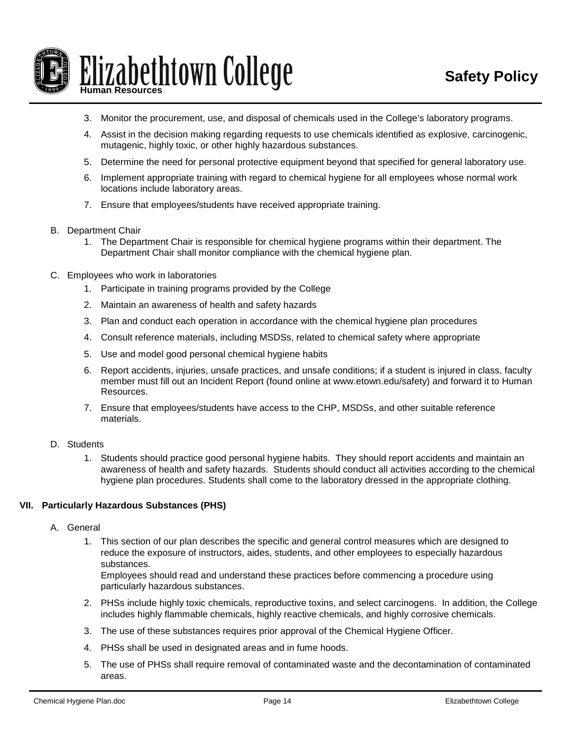

- 3. Monitor the procurement, use, and disposal of chemicals used in the College's laboratory programs.
- 4. Assist in the decision making regarding requests to use chemicals identified as explosive, carcinogenic, mutagenic, highly toxic, or other highly hazardous substances.
- 5. Determine the need for personal protective equipment beyond that specified for general laboratory use.
- 6. Implement appropriate training with regard to chemical hygiene for all employees whose normal work locations include laboratory areas.
- 7. Ensure that employees/students have received appropriate training.
- B. Department Chair
	- 1. The Department Chair is responsible for chemical hygiene programs within their department. The Department Chair shall monitor compliance with the chemical hygiene plan.
- C. Employees who work in laboratories
	- 1. Participate in training programs provided by the College
	- 2. Maintain an awareness of health and safety hazards
	- 3. Plan and conduct each operation in accordance with the chemical hygiene plan procedures
	- 4. Consult reference materials, including MSDSs, related to chemical safety where appropriate
	- 5. Use and model good personal chemical hygiene habits
	- 6. Report accidents, injuries, unsafe practices, and unsafe conditions; if a student is injured in class, faculty member must fill out an Incident Report (found online at [www.etown.edu/safety\)](http://www.etown.edu/safety) and forward it to Human Resources.
	- 7. Ensure that employees/students have access to the CHP, MSDSs, and other suitable reference materials.
- D. Students
	- 1. Students should practice good personal hygiene habits. They should report accidents and maintain an awareness of health and safety hazards. Students should conduct all activities according to the chemical hygiene plan procedures. Students shall come to the laboratory dressed in the appropriate clothing.

### **VII. Particularly Hazardous Substances (PHS)**

- A. General
	- 1. This section of our plan describes the specific and general control measures which are designed to reduce the exposure of instructors, aides, students, and other employees to especially hazardous substances.

Employees should read and understand these practices before commencing a procedure using particularly hazardous substances.

- 2. PHSs include highly toxic chemicals, reproductive toxins, and select carcinogens. In addition, the College includes highly flammable chemicals, highly reactive chemicals, and highly corrosive chemicals.
- 3. The use of these substances requires prior approval of the Chemical Hygiene Officer.
- 4. PHSs shall be used in designated areas and in fume hoods.
- 5. The use of PHSs shall require removal of contaminated waste and the decontamination of contaminated areas.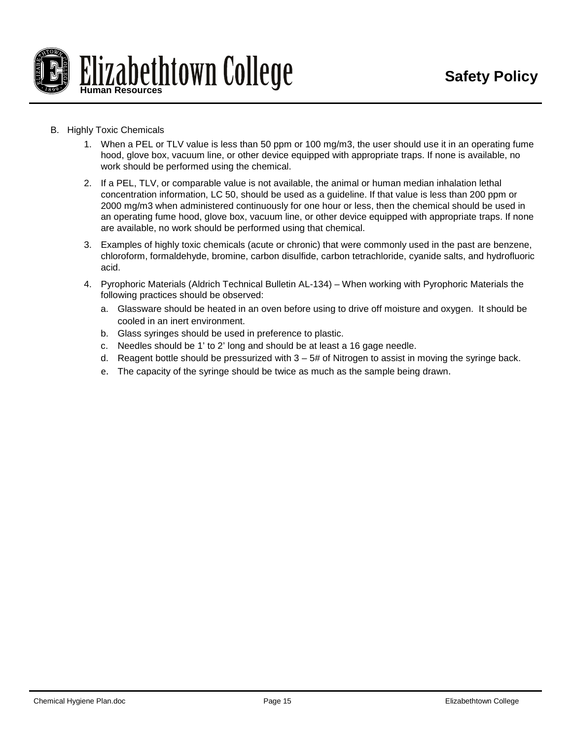

- B. Highly Toxic Chemicals
	- 1. When a PEL or TLV value is less than 50 ppm or 100 mg/m3, the user should use it in an operating fume hood, glove box, vacuum line, or other device equipped with appropriate traps. If none is available, no work should be performed using the chemical.
	- 2. If a PEL, TLV, or comparable value is not available, the animal or human median inhalation lethal concentration information, LC 50, should be used as a guideline. If that value is less than 200 ppm or 2000 mg/m3 when administered continuously for one hour or less, then the chemical should be used in an operating fume hood, glove box, vacuum line, or other device equipped with appropriate traps. If none are available, no work should be performed using that chemical.
	- 3. Examples of highly toxic chemicals (acute or chronic) that were commonly used in the past are benzene, chloroform, formaldehyde, bromine, carbon disulfide, carbon tetrachloride, cyanide salts, and hydrofluoric acid.
	- 4. Pyrophoric Materials (Aldrich Technical Bulletin AL-134) When working with Pyrophoric Materials the following practices should be observed:
		- a. Glassware should be heated in an oven before using to drive off moisture and oxygen. It should be cooled in an inert environment.
		- b. Glass syringes should be used in preference to plastic.
		- c. Needles should be 1' to 2' long and should be at least a 16 gage needle.
		- d. Reagent bottle should be pressurized with  $3 5#$  of Nitrogen to assist in moving the syringe back.
		- e. The capacity of the syringe should be twice as much as the sample being drawn.